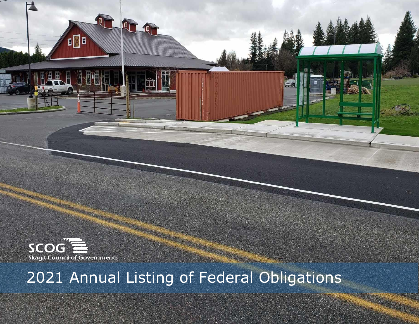

4 T

 $\blacksquare$ 

# 2021 Annual Listing of Federal Obligations

in Silvers<br>N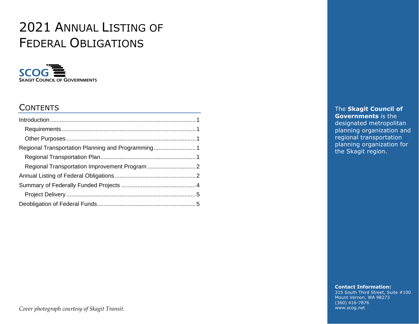## 2021 ANNUAL LISTING OF FEDERAL OBLIGATIONS



### **CONTENTS**

The **Skagit Council of Governments** is the designated metropolitan planning organization and regional transportation planning organization for the Skagit region.

**Contact Information:**

315 South Third Street, Suite #100 Mount Vernon, WA 98273 (360) 416-7876 www.scog.net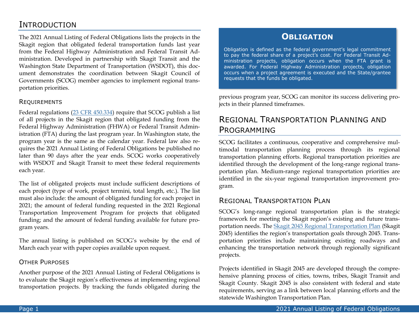### <span id="page-2-0"></span>INTRODUCTION

The 2021 Annual Listing of Federal Obligations lists the projects in the Skagit region that obligated federal transportation funds last year from the Federal Highway Administration and Federal Transit Administration. Developed in partnership with Skagit Transit and the Washington State Department of Transportation (WSDOT), this document demonstrates the coordination between Skagit Council of Governments (SCOG) member agencies to implement regional transportation priorities.

#### <span id="page-2-1"></span>REQUIREMENTS

Federal regulations [\(23 CFR 450.334\)](https://www.ecfr.gov/current/title-23/chapter-I/subchapter-E/part-450/subpart-C/section-450.334) require that SCOG publish a list of all projects in the Skagit region that obligated funding from the Federal Highway Administration (FHWA) or Federal Transit Administration (FTA) during the last program year. In Washington state, the program year is the same as the calendar year. Federal law also requires the 2021 Annual Listing of Federal Obligations be published no later than 90 days after the year ends. SCOG works cooperatively with WSDOT and Skagit Transit to meet these federal requirements each year.

The list of obligated projects must include sufficient descriptions of each project (type of work, project termini, total length, etc.). The list must also include: the amount of obligated funding for each project in 2021; the amount of federal funding requested in the 2021 Regional Transportation Improvement Program for projects that obligated funding; and the amount of federal funding available for future program years.

The annual listing is published on SCOG's website by the end of March each year with paper copies available upon request.

#### <span id="page-2-2"></span>OTHER PURPOSES

Another purpose of the 2021 Annual Listing of Federal Obligations is to evaluate the Skagit region's effectiveness at implementing regional transportation projects. By tracking the funds obligated during the

#### **OBLIGATION**

Obligation is defined as the federal government's legal commitment to pay the federal share of a project's cost. For Federal Transit Administration projects, obligation occurs when the FTA grant is awarded. For Federal Highway Administration projects, obligation occurs when a project agreement is executed and the State/grantee requests that the funds be obligated.

previous program year, SCOG can monitor its success delivering projects in their planned timeframes.

### <span id="page-2-3"></span>REGIONAL TRANSPORTATION PLANNING AND PROGRAMMING

SCOG facilitates a continuous, cooperative and comprehensive multimodal transportation planning process through its regional transportation planning efforts. Regional transportation priorities are identified through the development of the long-range regional transportation plan. Medium-range regional transportation priorities are identified in the six-year regional transportation improvement program.

#### <span id="page-2-4"></span>REGIONAL TRANSPORTATION PLAN

SCOG's long-range regional transportation plan is the strategic framework for meeting the Skagit region's existing and future transportation needs. The [Skagit 2045 Regional Transportation Plan](https://www.scog.net/transportation-plans/regional-transportation-plan/) (Skagit 2045) identifies the region's transportation goals through 2045. Transportation priorities include maintaining existing roadways and enhancing the transportation network through regionally significant projects.

Projects identified in Skagit 2045 are developed through the comprehensive planning process of cities, towns, tribes, Skagit Transit and Skagit County. Skagit 2045 is also consistent with federal and state requirements, serving as a link between local planning efforts and the statewide Washington Transportation Plan.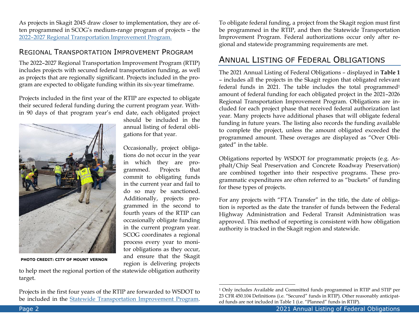As projects in Skagit 2045 draw closer to implementation, they are often programmed in SCOG's medium-range program of projects – the 2022–2027 [Regional Transportation Improvement Program.](https://www.scog.net/transportation-programs/regional-transportation-improvement-program/)

#### <span id="page-3-0"></span>REGIONAL TRANSPORTATION IMPROVEMENT PROGRAM

The 2022–2027 Regional Transportation Improvement Program (RTIP) includes projects with secured federal transportation funding, as well as projects that are regionally significant. Projects included in the program are expected to obligate funding within its six-year timeframe.

Projects included in the first year of the RTIP are expected to obligate their secured federal funding during the current program year. Within 90 days of that program year's end date, each obligated project

> should be included in the annual listing of federal obli-

> Occasionally, project obligations do not occur in the year in which they are programmed. Projects that commit to obligating funds in the current year and fail to do so may be sanctioned. Additionally, projects programmed in the second to fourth years of the RTIP can occasionally obligate funding in the current program year. SCOG coordinates a regional process every year to monitor obligations as they occur, and ensure that the Skagit region is delivering projects

gations for that year.



**PHOTO CREDIT: CITY OF MOUNT VERNON**

to help meet the regional portion of the statewide obligation authority target.

Projects in the first four years of the RTIP are forwarded to WSDOT to be included in the [Statewide Transportation Improvement Program.](https://wsdot.wa.gov/business-wsdot/support-local-programs/delivering-your-project/statewide-transportation-improvement-program-stip) To obligate federal funding, a project from the Skagit region must first be programmed in the RTIP, and then the Statewide Transportation Improvement Program. Federal authorizations occur only after regional and statewide programming requirements are met.

### <span id="page-3-1"></span>ANNUAL LISTING OF FEDERAL OBLIGATIONS

The 2021 Annual Listing of Federal Obligations – displayed in **Table 1** – includes all the projects in the Skagit region that obligated relevant federal funds in 2021. The table includes the total programmed<sup>1</sup> amount of federal funding for each obligated project in the 2021–2026 Regional Transportation Improvement Program. Obligations are included for each project phase that received federal authorization last year. Many projects have additional phases that will obligate federal funding in future years. The listing also records the funding available to complete the project, unless the amount obligated exceeded the programmed amount. These overages are displayed as "Over Obligated" in the table.

Obligations reported by WSDOT for programmatic projects (e.g. Asphalt/Chip Seal Preservation and Concrete Roadway Preservation) are combined together into their respective programs. These programmatic expenditures are often referred to as "buckets" of funding for these types of projects.

For any projects with "FTA Transfer" in the title, the date of obligation is reported as the date the transfer of funds between the Federal Highway Administration and Federal Transit Administration was approved. This method of reporting is consistent with how obligation authority is tracked in the Skagit region and statewide.

<sup>1</sup> Only includes Available and Committed funds programmed in RTIP and STIP per 23 CFR 450.104 Definitions (i.e. "Secured" funds in RTIP). Other reasonably anticipated funds are not included in Table 1 (i.e. "Planned" funds in RTIP).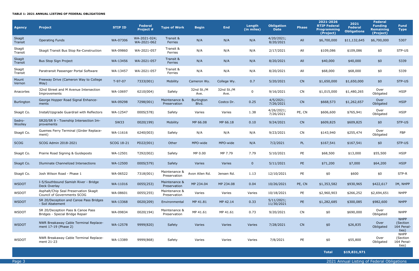Page 3 2021 Annual Listing of Federal Obligations

#### **TABLE 1: 2021 ANNUAL LISTING OF FEDERAL OBLIGATIONS**

| <b>Agency</b>     | <b>Project</b>                                                       | <b>STIP ID</b> | <b>Federal</b><br>Project # | <b>Type of Work</b>           | <b>Begin</b>               | <b>End</b>         | Length<br>(in miles) | <b>Obligation</b><br><b>Date</b> | <b>Phase</b> | 2021-2026<br><b>RTIP Federal</b><br><b>Programming</b><br>(Project) | 2021<br>Federal<br><b>Obligations</b> | <b>Federal</b><br><b>Funding</b><br>Remaining<br>(Project) | <b>Fund</b><br><b>Type</b>                    |
|-------------------|----------------------------------------------------------------------|----------------|-----------------------------|-------------------------------|----------------------------|--------------------|----------------------|----------------------------------|--------------|---------------------------------------------------------------------|---------------------------------------|------------------------------------------------------------|-----------------------------------------------|
| Skagit<br>Transit | <b>Operating Funds</b>                                               | WA-07306       | WA-2021-024;<br>WA-2021-062 | Transit &<br>Ferries          | N/A                        | N/A                | N/A                  | 4/20/2021;<br>8/20/2021          | All          | \$6,700,000                                                         | \$11,132,645                          | \$6,700,000                                                | 5307                                          |
| Skagit<br>Transit | Skagit Transit Bus Stop Re-Construction                              | WA-09860       | WA-2021-057                 | Transit &<br>Ferries          | N/A                        | N/A                | N/A                  | 2/17/2021                        | All          | \$109,086                                                           | \$109,086                             | \$0                                                        | STP-US                                        |
| Skagit<br>Transit | Bus Stop Sign Project                                                | WA-13456       | WA-2021-057                 | Transit &<br>Ferries          | N/A                        | N/A                | N/A                  | 8/20/2021                        | All          | \$40,000                                                            | \$40,000                              | \$0                                                        | 5339                                          |
| Skagit<br>Transit | Paratransit Passenger Portal Software                                | WA-13457       | WA-2021-057                 | Transit &<br>Ferries          | N/A                        | N/A                | N/A                  | 8/20/2021                        | All          | \$68,000                                                            | \$68,000                              | \$0                                                        | 5339                                          |
| Mount<br>Vernon   | Freeway Drive (Cameron Way to College<br>Way)                        | T-97-07        | 7333(001)                   | Mobility                      | Cameron Wy.                | College Wy.        | 0.7                  | 5/20/2021                        | CN           | \$1,650,000                                                         | \$1,650,000                           | \$0                                                        | STP-US                                        |
| Anacortes         | 32nd Street and M Avenue Intersection<br>Improvements                | WA-10697       | 6210(004)                   | Safety                        | 32nd St./M<br>Ave.         | 32nd St./M<br>Ave. | $\mathbf{0}$         | 9/16/2021                        | CN           | \$1,015,000                                                         | \$1,480,265                           | Over<br>Obligated                                          | <b>HSIP</b>                                   |
| Burlington        | George Hopper Road Signal Enhance-<br>ments                          | WA-09298       | 7298(001)                   | Maintenance &<br>Preservation | <b>Burlington</b><br>Blvd. | Costco Dr.         | 0.25                 | 4/5/2021;<br>7/26/2021           | CN           | \$668,573                                                           | \$1,262,657                           | Over<br>Obligated                                          | <b>HSIP</b>                                   |
| Skagit Co.        | Install/Upgrade Guardrail with Reflectors                            | WA-12547       | 000S(578)                   | Safety                        | Varies                     | Varies             | 1.38                 | 4/26/2021;<br>7/26/2021          | PE, CN       | \$606,600                                                           | \$765,941                             | Over<br>Obligated                                          | <b>HSIP</b>                                   |
| Sedro-<br>Woolley | SR20/SR 9 - Township Intersection Im-<br>provements                  | <b>SW33</b>    | 0020(199)                   | Mobility                      | MP 66.08                   | MP 66.18           | 0.10                 | 9/24/2021                        | CN           | \$609,825                                                           | \$609,825                             | \$0                                                        | STP-US                                        |
| Skagit Co.        | Guemes Ferry Terminal (Girder Replace-<br>ment)                      | WA-11616       | 6240(003)                   | Safety                        | N/A                        | N/A                | N/A                  | 9/23/2021                        | CN           | \$143,940                                                           | \$255,474                             | Over<br>Obligated                                          | <b>FBP</b>                                    |
| <b>SCOG</b>       | SCOG Admin 2018-2021                                                 | SCOG 18-21     | PD22(001)                   | Other                         | MPO-wide                   | MPO-wide           | N/A                  | 7/2/2021                         | <b>PL</b>    | \$167,541                                                           | \$167,541                             | \$0                                                        | STP-US                                        |
| Skagit Co.        | Prairie Road Signing & Guideposts                                    | WA-12501       | T292(002)                   | Safety                        | MP 0.00                    | MP 7.79            | 7.79                 | 5/10/2021                        | PE           | \$68,500                                                            | \$13,000                              | \$55,500                                                   | <b>HSIP</b>                                   |
| Skagit Co.        | Illuminate Channelized Intersections                                 | WA-12500       | 000S(579)                   | Safety                        | Varies                     | Varies             | $\mathbf{0}$         | 5/11/2021                        | PE           | \$71,200                                                            | \$7,000                               | \$64,200                                                   | <b>HSIP</b>                                   |
| Skagit Co.        | Josh Wilson Road - Phase 1                                           | WA-06522       | 7318(001)                   | Maintenance &<br>Preservation | Avon Allen Rd.             | Jensen Rd.         | 1.13                 | 12/10/2021                       | PE           | \$0                                                                 | \$600                                 | \$0                                                        | STP-R                                         |
| <b>WSDOT</b>      | I-5/Southbound Samish River - Bridge<br>Deck Overlay                 | WA-11016       | 0055(253)                   | Maintenance &<br>Preservation | MP 234.04                  | MP 234.08          | 0.04                 | 10/26/2021                       | PE, CN       | \$1,353,582                                                         | \$930,965                             | \$422,617                                                  | IM, NHPP                                      |
| WSDOT             | Asphalt/Chip Seal Preservation Skagit<br>Council of Governments SCOG | WA-08601       | 0055(255)                   | Maintenance &<br>Preservation | Varies                     | Varies             | Varies               | 10/18/2021                       | PE           | \$2,960,903                                                         | \$266,252                             | \$2,694,651                                                | <b>NHPP</b>                                   |
| <b>WSDOT</b>      | SR 20/Deception and Canoe Pass Bridges<br>- Soil Abatement           | WA-13368       | 0020(209)                   | Environmental                 | MP 41.81                   | MP 42.14           | 0.33                 | 5/11/2021;<br>11/30/2021         | PE           | \$1,282,685                                                         | \$300,085                             | \$982,600                                                  | <b>NHPP</b>                                   |
| <b>WSDOT</b>      | SR 20/Deception Pass & Canoe Pass<br>Bridges - Special Bridge Repair | WA-09834       | 0020(194)                   | Maintenance &<br>Preservation | MP 41.61                   | MP 41.61           | 0.73                 | 9/20/2021                        | <b>CN</b>    | \$0                                                                 | \$690,000                             | Over<br>Obligated                                          | <b>NHPP</b>                                   |
| <b>WSDOT</b>      | NWR Breakaway Cable Terminal Replace-<br>ment 17-19 (Phase 2)        | WA-12578       | 9999(820)                   | Safety                        | Varies                     | Varies             | Varies               | 7/28/2021                        | CN           | \$0                                                                 | \$26,835                              | Over<br>Obligated                                          | <b>NHPP</b><br>(Section<br>164 Penal<br>ties) |
| <b>WSDOT</b>      | NWR Breakaway Cable Terminal Replace-<br>ment 21-23                  | WA-13389       | 9999(868)                   | Safety                        | Varies                     | Varies             | Varies               | 7/8/2021                         | PE           | \$0                                                                 | \$55,800                              | Over<br>Obligated                                          | <b>NHPP</b><br>(Section<br>164 Penal<br>ties) |

| <b>Obligation</b><br><b>Date</b> | <b>Phase</b> | 2021-2026<br><b>RTIP Federal</b><br><b>Programming</b><br>(Project) | 2021<br><b>Federal</b><br><b>Obligations</b> | <b>Federal</b><br><b>Funding</b><br><b>Remaining</b><br>(Project) | <b>Fund</b><br><b>Type</b>                     |
|----------------------------------|--------------|---------------------------------------------------------------------|----------------------------------------------|-------------------------------------------------------------------|------------------------------------------------|
| 4/20/2021;<br>8/20/2021          | All          | \$6,700,000                                                         | \$11,132,645                                 | \$6,700,000                                                       | 5307                                           |
| 2/17/2021                        | All          | \$109,086                                                           | \$109,086                                    | \$0                                                               | STP-US                                         |
| 8/20/2021                        | All          | \$40,000                                                            | \$40,000                                     | \$0                                                               | 5339                                           |
| 8/20/2021                        | All          | \$68,000                                                            | \$68,000                                     | \$0                                                               | 5339                                           |
| 5/20/2021                        | CN           | \$1,650,000                                                         | \$1,650,000                                  | \$0                                                               | STP-US                                         |
| 9/16/2021                        | CN           | \$1,015,000                                                         | \$1,480,265                                  | Over<br>Obligated                                                 | <b>HSIP</b>                                    |
| 4/5/2021;<br>7/26/2021           | CN           | \$668,573                                                           | \$1,262,657                                  | Over<br>Obligated                                                 | <b>HSIP</b>                                    |
| 4/26/2021;<br>7/26/2021          | PE, CN       | \$606,600                                                           | \$765,941                                    | Over<br>Obligated                                                 | HSIP                                           |
| 9/24/2021                        | CN           | \$609,825                                                           | \$609,825                                    | \$0                                                               | STP-US                                         |
| 9/23/2021                        | CN           | \$143,940                                                           | \$255,474                                    | Over<br>Obligated                                                 | <b>FBP</b>                                     |
| 7/2/2021                         | PL.          | \$167,541                                                           | \$167,541                                    | \$0                                                               | STP-US                                         |
| 5/10/2021                        | PE           | \$68,500                                                            | \$13,000                                     | \$55,500                                                          | <b>HSIP</b>                                    |
| 5/11/2021                        | <b>PE</b>    | \$71,200                                                            | \$7,000                                      | \$64,200                                                          | <b>HSIP</b>                                    |
| 12/10/2021                       | PE           | \$0                                                                 | \$600                                        | \$0                                                               | STP-R                                          |
| 10/26/2021                       | PE, CN       | \$1,353,582                                                         | \$930,965                                    | \$422,617                                                         | IM, NHPP                                       |
| 10/18/2021                       | PE           | \$2,960,903                                                         | \$266,252                                    | \$2,694,651                                                       | <b>NHPP</b>                                    |
| 5/11/2021;<br>11/30/2021         | PE           | \$1,282,685                                                         | \$300,085                                    | \$982,600                                                         | <b>NHPP</b>                                    |
| 9/20/2021                        | CN           | \$0                                                                 | \$690,000                                    | Over<br>Obligated                                                 | <b>NHPP</b>                                    |
| 7/28/2021                        | CN           | \$0                                                                 | \$26,835                                     | Over<br>Obligated                                                 | <b>NHPP</b><br>(Section<br>164 Penal-<br>ties) |
| 7/8/2021                         | PE           | \$0                                                                 | \$55,800                                     | Over<br>Obligated                                                 | <b>NHPP</b><br>(Section<br>164 Penal-<br>ties) |
|                                  |              | <b>Total</b>                                                        | \$19,831,971                                 |                                                                   |                                                |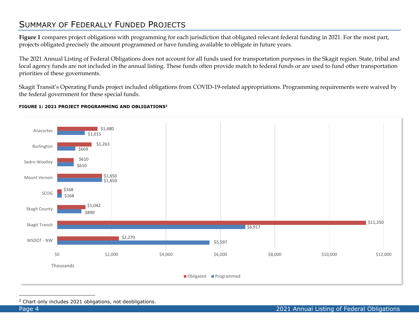### <span id="page-5-0"></span>SUMMARY OF FEDERALLY FUNDED PROJECTS

**Figure 1** compares project obligations with programming for each jurisdiction that obligated relevant federal funding in 2021. For the most part, projects obligated precisely the amount programmed or have funding available to obligate in future years.

The 2021 Annual Listing of Federal Obligations does not account for all funds used for transportation purposes in the Skagit region. State, tribal and local agency funds are not included in the annual listing. These funds often provide match to federal funds or are used to fund other transportation priorities of these governments.

Skagit Transit's Operating Funds project included obligations from COVID-19-related appropriations. Programming requirements were waived by the federal government for these special funds.

#### **FIGURE 1: 2021 PROJECT PROGRAMMING AND OBLIGATIONS<sup>2</sup>**



<sup>2</sup> Chart only includes 2021 obligations, not deobligations.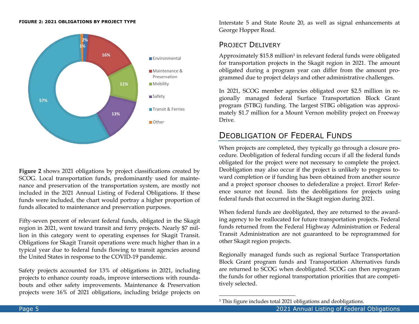#### **FIGURE 2: 2021 OBLIGATIONS BY PROJECT TYPE**



**Figure 2** shows 2021 obligations by project classifications created by SCOG. Local transportation funds, predominantly used for maintenance and preservation of the transportation system, are mostly not included in the 2021 Annual Listing of Federal Obligations. If these funds were included, the chart would portray a higher proportion of funds allocated to maintenance and preservation purposes.

Fifty-seven percent of relevant federal funds, obligated in the Skagit region in 2021, went toward transit and ferry projects. Nearly \$7 million in this category went to operating expenses for Skagit Transit. Obligations for Skagit Transit operations were much higher than in a typical year due to federal funds flowing to transit agencies around the United States in response to the COVID-19 pandemic.

Safety projects accounted for 13% of obligations in 2021, including projects to enhance county roads, improve intersections with roundabouts and other safety improvements. Maintenance & Preservation projects were 16% of 2021 obligations, including bridge projects on Interstate 5 and State Route 20, as well as signal enhancements at George Hopper Road.

#### <span id="page-6-0"></span>PROJECT DELIVERY

Approximately \$15.8 million<sup>3</sup> in relevant federal funds were obligated for transportation projects in the Skagit region in 2021. The amount obligated during a program year can differ from the amount programmed due to project delays and other administrative challenges.

In 2021, SCOG member agencies obligated over \$2.5 million in regionally managed federal Surface Transportation Block Grant program (STBG) funding. The largest STBG obligation was approximately \$1.7 million for a Mount Vernon mobility project on Freeway Drive.

### <span id="page-6-1"></span>DEOBLIGATION OF FEDERAL FUNDS

When projects are completed, they typically go through a closure procedure. Deobligation of federal funding occurs if all the federal funds obligated for the project were not necessary to complete the project. Deobligation may also occur if the project is unlikely to progress toward completion or if funding has been obtained from another source and a project sponsor chooses to defederalize a project. Error! Reference source not found. lists the deobligations for projects using federal funds that occurred in the Skagit region during 2021.

When federal funds are deobligated, they are returned to the awarding agency to be reallocated for future transportation projects. Federal funds returned from the Federal Highway Administration or Federal Transit Administration are not guaranteed to be reprogrammed for other Skagit region projects.

Regionally managed funds such as regional Surface Transportation Block Grant program funds and Transportation Alternatives funds are returned to SCOG when deobligated. SCOG can then reprogram the funds for other regional transportation priorities that are competitively selected.

<sup>&</sup>lt;sup>3</sup> This figure includes total 2021 obligations and deobligations.